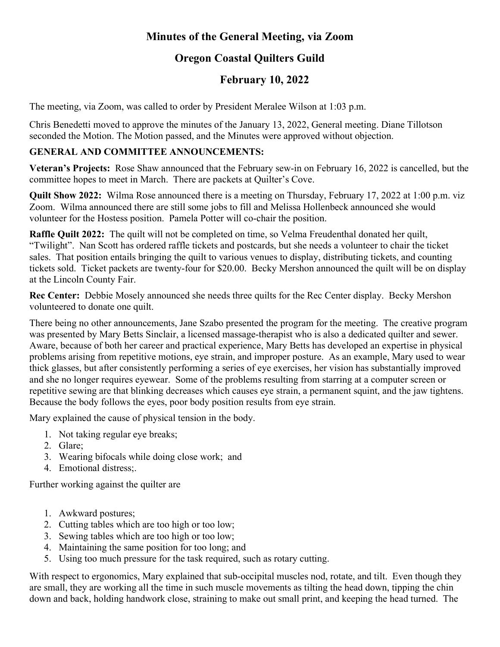## **Minutes of the General Meeting, via Zoom**

# **Oregon Coastal Quilters Guild**

### **February 10, 2022**

The meeting, via Zoom, was called to order by President Meralee Wilson at 1:03 p.m.

Chris Benedetti moved to approve the minutes of the January 13, 2022, General meeting. Diane Tillotson seconded the Motion. The Motion passed, and the Minutes were approved without objection.

#### **GENERAL AND COMMITTEE ANNOUNCEMENTS:**

**Veteran's Projects:** Rose Shaw announced that the February sew-in on February 16, 2022 is cancelled, but the committee hopes to meet in March. There are packets at Quilter's Cove.

**Quilt Show 2022:** Wilma Rose announced there is a meeting on Thursday, February 17, 2022 at 1:00 p.m. viz Zoom. Wilma announced there are still some jobs to fill and Melissa Hollenbeck announced she would volunteer for the Hostess position. Pamela Potter will co-chair the position.

**Raffle Quilt 2022:** The quilt will not be completed on time, so Velma Freudenthal donated her quilt, "Twilight". Nan Scott has ordered raffle tickets and postcards, but she needs a volunteer to chair the ticket sales. That position entails bringing the quilt to various venues to display, distributing tickets, and counting tickets sold. Ticket packets are twenty-four for \$20.00. Becky Mershon announced the quilt will be on display at the Lincoln County Fair.

**Rec Center:** Debbie Mosely announced she needs three quilts for the Rec Center display. Becky Mershon volunteered to donate one quilt.

There being no other announcements, Jane Szabo presented the program for the meeting. The creative program was presented by Mary Betts Sinclair, a licensed massage-therapist who is also a dedicated quilter and sewer. Aware, because of both her career and practical experience, Mary Betts has developed an expertise in physical problems arising from repetitive motions, eye strain, and improper posture. As an example, Mary used to wear thick glasses, but after consistently performing a series of eye exercises, her vision has substantially improved and she no longer requires eyewear. Some of the problems resulting from starring at a computer screen or repetitive sewing are that blinking decreases which causes eye strain, a permanent squint, and the jaw tightens. Because the body follows the eyes, poor body position results from eye strain.

Mary explained the cause of physical tension in the body.

- 1. Not taking regular eye breaks;
- 2. Glare;
- 3. Wearing bifocals while doing close work; and
- 4. Emotional distress;.

Further working against the quilter are

- 1. Awkward postures;
- 2. Cutting tables which are too high or too low;
- 3. Sewing tables which are too high or too low;
- 4. Maintaining the same position for too long; and
- 5. Using too much pressure for the task required, such as rotary cutting.

With respect to ergonomics, Mary explained that sub-occipital muscles nod, rotate, and tilt. Even though they are small, they are working all the time in such muscle movements as tilting the head down, tipping the chin down and back, holding handwork close, straining to make out small print, and keeping the head turned. The